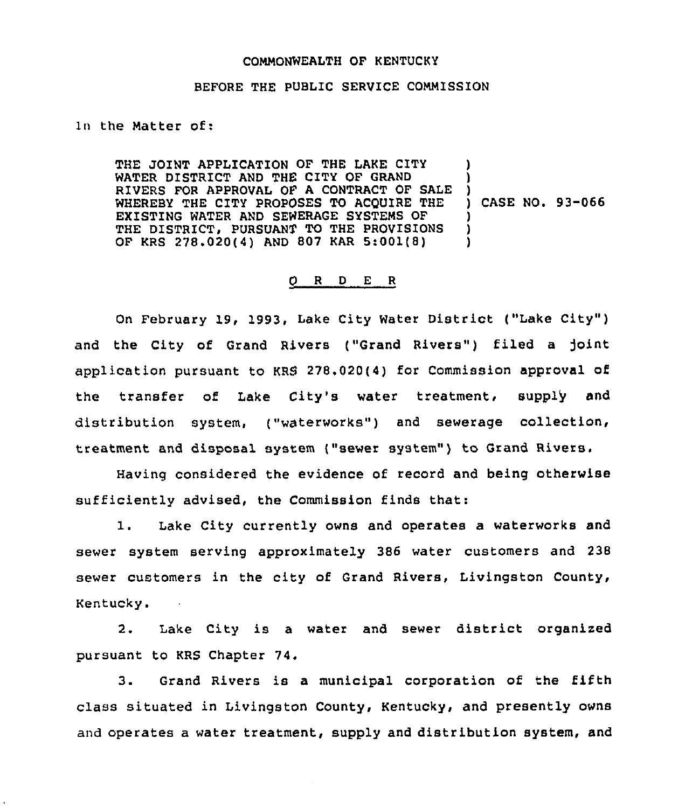## COMMONWEALTH OF KENTUCKY

## BEFORE THE PUBLIC SERVICE COMMISSION

1n the Matter of:

THE JOINT APPLICATION OF THE LAKE CITY WATER DISTRICT AND THE CITY OF GRAND RIVERS FOR APPROVAL OF A CONTRACT OF SALE WHEREBY THE CITY PROPOSES TO ACQUIRE THE EXISTING WATER AND SEWERAGE SYSTEMS OF THE DISTRICT, PURSUANT TO THE PROVISIONS OF KRS 278.020(4) AND 807 KAR 5:001(8) ) ) ) ) CASE NO. 93-066 ) ) )

## 0 <sup>R</sup> <sup>D</sup> E <sup>R</sup>

On February 19, 1993, Lake City Water District ("Lake City") and the City of Grand Rivers ("Grand Rivers") filed a joint application pursuant to KRS 278.020(4) for Commission approval of the transfer of Lake City's water treatment, supply and distribution system, ("waterworks") and sewerage collection, treatment and disposal system ("sewer system") to Grand Rivers.

Having considered the evidence of record and being otherwise sufficiently advised, the Commission finds that:

1. Lake City currently owns and operates <sup>a</sup> waterworks and sewer system serving approximately 386 water customers and 238 sewer customers in the city of Grand Rivers, Livingston County, Kentucky.  $\sim 10$ 

2. Lake City is <sup>a</sup> water and sewer district organized pursuant to KRS Chapter 74.

3. Grand Rivers is a municipal corporation of the fifth class situated in Livingston County, Kentucky, and presently owns and operates a water treatment, supply and distribution system, and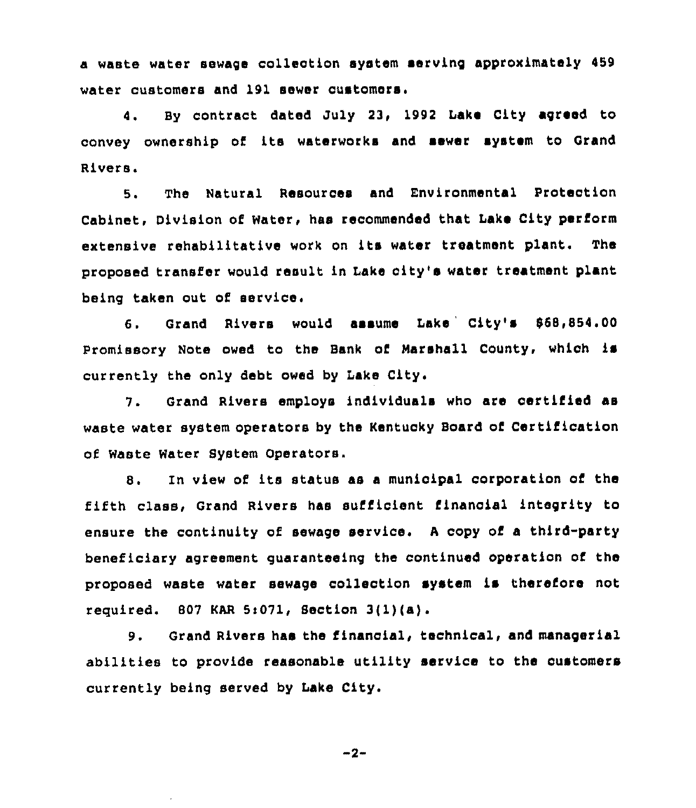a waste water sewage collection system serving approximately 459 water customers and 191 sewer customers'.

By contract dated July 23, 1992 Lake City agreed to 4. convey ownership of its waterworks and sewer system to Grand Rivers.

5. The Natural Resources and Environmental protection Cabinet, Division of Water, has recommended that Lake City perform extensive rehabilitative work on its water treatment plant. The proposed transfer would result in Lake oity's water treatment plant being taken out of service,

6. Grand Rivers would assume Lake City's \$68,854.00 promissory Note owed to the Bank of Marshall County, which is currently the only debt owed by Lake City.

7. Grand Rivers employs individuals who are certified as waste water system operators by the Kentucky Board of Certification of Waste Water System Operators.

8. In view of its statue as <sup>a</sup> municipal corporation of the fifth class, Grand Rivers has sufficient financial integrity to ensure the continuity of sewage service. <sup>A</sup> copy of a third-party beneficiary agreement guaranteeing the continued operation of the proposed waste water sewage collection system is therefore not required.  $607$  KAR 5:071, Section 3(1)(a).

9. Grand Rivers has the financial, technical, and managerial abilities to provide reasonable utility service to the customers currently being served by Iake City.

$$
-2-
$$